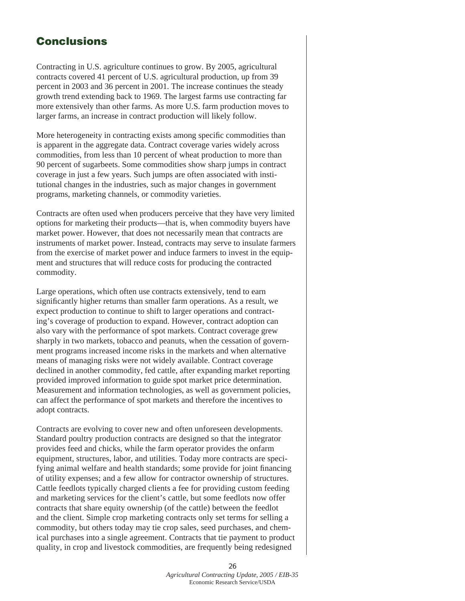## **Conclusions**

Contracting in U.S. agriculture continues to grow. By 2005, agricultural contracts covered 41 percent of U.S. agricultural production, up from 39 percent in 2003 and 36 percent in 2001. The increase continues the steady growth trend extending back to 1969. The largest farms use contracting far more extensively than other farms. As more U.S. farm production moves to larger farms, an increase in contract production will likely follow.

More heterogeneity in contracting exists among specific commodities than is apparent in the aggregate data. Contract coverage varies widely across commodities, from less than 10 percent of wheat production to more than 90 percent of sugarbeets. Some commodities show sharp jumps in contract coverage in just a few years. Such jumps are often associated with institutional changes in the industries, such as major changes in government programs, marketing channels, or commodity varieties.

Contracts are often used when producers perceive that they have very limited options for marketing their products—that is, when commodity buyers have market power. However, that does not necessarily mean that contracts are instruments of market power. Instead, contracts may serve to insulate farmers from the exercise of market power and induce farmers to invest in the equipment and structures that will reduce costs for producing the contracted commodity.

Large operations, which often use contracts extensively, tend to earn significantly higher returns than smaller farm operations. As a result, we expect production to continue to shift to larger operations and contracting's coverage of production to expand. However, contract adoption can also vary with the performance of spot markets. Contract coverage grew sharply in two markets, tobacco and peanuts, when the cessation of government programs increased income risks in the markets and when alternative means of managing risks were not widely available. Contract coverage declined in another commodity, fed cattle, after expanding market reporting provided improved information to guide spot market price determination. Measurement and information technologies, as well as government policies, can affect the performance of spot markets and therefore the incentives to adopt contracts.

Contracts are evolving to cover new and often unforeseen developments. Standard poultry production contracts are designed so that the integrator provides feed and chicks, while the farm operator provides the onfarm equipment, structures, labor, and utilities. Today more contracts are specifying animal welfare and health standards; some provide for joint financing of utility expenses; and a few allow for contractor ownership of structures. Cattle feedlots typically charged clients a fee for providing custom feeding and marketing services for the client's cattle, but some feedlots now offer contracts that share equity ownership (of the cattle) between the feedlot and the client. Simple crop marketing contracts only set terms for selling a commodity, but others today may tie crop sales, seed purchases, and chemical purchases into a single agreement. Contracts that tie payment to product quality, in crop and livestock commodities, are frequently being redesigned

> **26** *Agricultural Contracting Update, 2005 / EIB-35* Economic Research Service/USDA